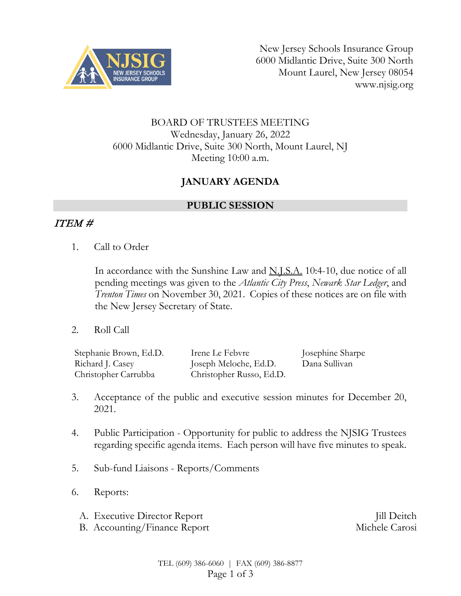

New Jersey Schools Insurance Group 6000 Midlantic Drive, Suite 300 North Mount Laurel, New Jersey 08054 www.njsig.org

#### BOARD OF TRUSTEES MEETING Wednesday, January 26, 2022 6000 Midlantic Drive, Suite 300 North, Mount Laurel, NJ Meeting 10:00 a.m.

# **JANUARY AGENDA**

#### **PUBLIC SESSION**

## ITEM #

1. Call to Order

In accordance with the Sunshine Law and N.J.S.A. 10:4-10, due notice of all pending meetings was given to the *Atlantic City Press*, *Newark Star Ledger*, and *Trenton Times* on November 30, 2021. Copies of these notices are on file with the New Jersey Secretary of State.

2. Roll Call

| Stephanie Brown, Ed.D. | Irene Le Febvre          | Josephine Sharpe |
|------------------------|--------------------------|------------------|
| Richard J. Casey       | Joseph Meloche, Ed.D.    | Dana Sullivan    |
| Christopher Carrubba   | Christopher Russo, Ed.D. |                  |

- 3. Acceptance of the public and executive session minutes for December 20, 2021.
- 4. Public Participation Opportunity for public to address the NJSIG Trustees regarding specific agenda items. Each person will have five minutes to speak.
- 5. Sub-fund Liaisons Reports/Comments
- 6. Reports:
	- A. Executive Director Report **III** Deitch
	- B. Accounting/Finance Report Michele Carosi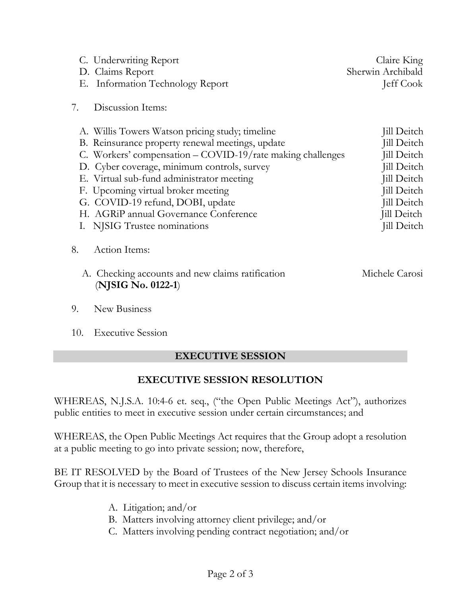| C. Underwriting Report<br>D. Claims Report<br><b>Information Technology Report</b><br>Е.                                                                                                                                                                                                                                                                                                                         | Claire King<br>Sherwin Archibald<br>Jeff Cook                                                                                                                          |
|------------------------------------------------------------------------------------------------------------------------------------------------------------------------------------------------------------------------------------------------------------------------------------------------------------------------------------------------------------------------------------------------------------------|------------------------------------------------------------------------------------------------------------------------------------------------------------------------|
| Discussion Items:<br>7.                                                                                                                                                                                                                                                                                                                                                                                          |                                                                                                                                                                        |
| A. Willis Towers Watson pricing study; timeline<br>B. Reinsurance property renewal meetings, update<br>C. Workers' compensation – COVID-19/rate making challenges<br>D. Cyber coverage, minimum controls, survey<br>E. Virtual sub-fund administrator meeting<br>F. Upcoming virtual broker meeting<br>G. COVID-19 refund, DOBI, update<br>H. AGRiP annual Governance Conference<br>I. NJSIG Trustee nominations | Jill Deitch<br><b>Jill Deitch</b><br><b>Jill Deitch</b><br>Jill Deitch<br>Jill Deitch<br>Jill Deitch<br><b>Jill Deitch</b><br><b>Jill Deitch</b><br><b>Jill Deitch</b> |
| Action Items:<br>8.<br>A. Checking accounts and new claims ratification<br>(NJSIG No. 0122-1)                                                                                                                                                                                                                                                                                                                    | Michele Carosi                                                                                                                                                         |

- 9. New Business
- 10. Executive Session

## **EXECUTIVE SESSION**

## **EXECUTIVE SESSION RESOLUTION**

WHEREAS, N.J.S.A. 10:4-6 et. seq., ("the Open Public Meetings Act"), authorizes public entities to meet in executive session under certain circumstances; and

WHEREAS, the Open Public Meetings Act requires that the Group adopt a resolution at a public meeting to go into private session; now, therefore,

BE IT RESOLVED by the Board of Trustees of the New Jersey Schools Insurance Group that it is necessary to meet in executive session to discuss certain items involving:

- A. Litigation; and/or
- B. Matters involving attorney client privilege; and/or
- C. Matters involving pending contract negotiation; and/or